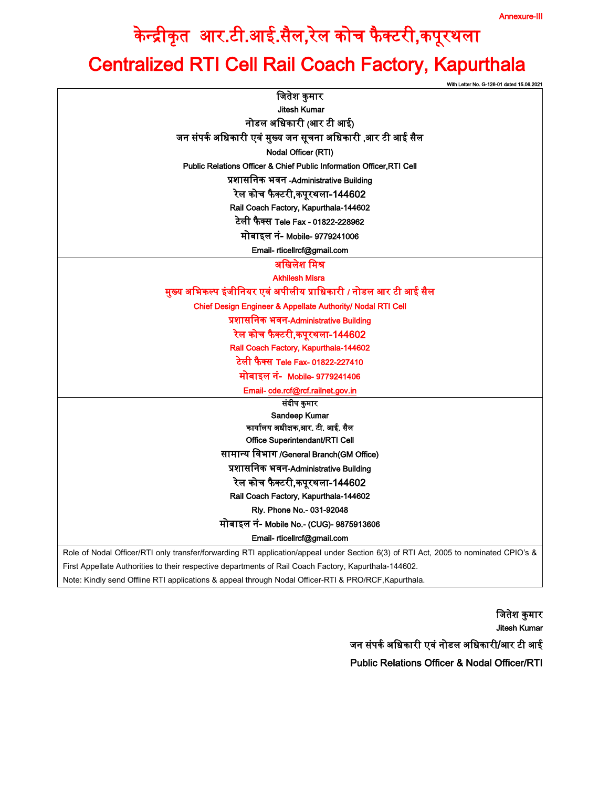## केन्द्रीकृत आर.टी.आई.सैल,रेल कोच फैक्टरी,कपूरथला Centralized RTI Cell Rail Coach Factory, Kapurthala

|                                                                                                                                     | With Letter No. G-126-01 dated 15.06.202 |
|-------------------------------------------------------------------------------------------------------------------------------------|------------------------------------------|
| जितेश कुमार                                                                                                                         |                                          |
| <b>Jitesh Kumar</b>                                                                                                                 |                                          |
| नोडल अधिकारी (आर टी आई)                                                                                                             |                                          |
| जन संपर्क अधिकारी एवं मुख्य जन सूचना अधिकारी ,आर टी आई सैल                                                                          |                                          |
| Nodal Officer (RTI)                                                                                                                 |                                          |
| <b>Public Relations Officer &amp; Chief Public Information Officer RTI Cell</b>                                                     |                                          |
| प्रशासनिक भवन-Administrative Building                                                                                               |                                          |
| रेल कोच फैक्टरी,कपूरथला-144602                                                                                                      |                                          |
| Rail Coach Factory, Kapurthala-144602                                                                                               |                                          |
| टेली फैक्स Tele Fax - 01822-228962                                                                                                  |                                          |
| मोबाइल नं- Mobile- 9779241006                                                                                                       |                                          |
| Email- rticellrcf@gmail.com                                                                                                         |                                          |
| अखिलेश मिश्र                                                                                                                        |                                          |
| <b>Akhilesh Misra</b>                                                                                                               |                                          |
| मुख्य अभिकल्प इंजीनियर एवं अपीलीय प्राधिकारी / नोडल आर टी आई सैल                                                                    |                                          |
| Chief Design Engineer & Appellate Authority/ Nodal RTI Cell                                                                         |                                          |
| प्रशासनिक भवन-Administrative Building                                                                                               |                                          |
| रेल कोच फैक्टरी,कपूरथला-144602                                                                                                      |                                          |
| Rail Coach Factory, Kapurthala-144602                                                                                               |                                          |
| टेली फैक्स Tele Fax- 01822-227410                                                                                                   |                                          |
| मोबाइल नं- Mobile- 9779241406                                                                                                       |                                          |
| Email- cde.rcf@rcf.railnet.gov.in                                                                                                   |                                          |
| संदीप कुमार                                                                                                                         |                                          |
| Sandeep Kumar                                                                                                                       |                                          |
| कार्यालय अधीक्षक,आर. टी. आई. सैल                                                                                                    |                                          |
| Office Superintendant/RTI Cell                                                                                                      |                                          |
| सामान्य विभाग /General Branch(GM Office)                                                                                            |                                          |
| प्रशासनिक भवन-Administrative Building                                                                                               |                                          |
| रेल कोच फैक्टरी,कपूरथला-144602                                                                                                      |                                          |
| Rail Coach Factory, Kapurthala-144602                                                                                               |                                          |
| Rly. Phone No.- 031-92048                                                                                                           |                                          |
| मोबाइल नं- Mobile No.- (CUG)- 9875913606                                                                                            |                                          |
| Email- rticellrcf@gmail.com                                                                                                         |                                          |
| Role of Nodal Officer/RTI only transfer/forwarding RTI application/appeal under Section 6(3) of RTI Act, 2005 to nominated CPIO's & |                                          |
| First Appellate Authorities to their respective departments of Rail Coach Factory, Kapurthala-144602.                               |                                          |
| Note: Kindly send Offline RTI applications & appeal through Nodal Officer-RTI & PRO/RCF, Kapurthala.                                |                                          |

जितेश कुमार Jitesh Kumar जन संपर्क अधिकारी एवं नोडल अधिकारी/आर टी आई Public Relations Officer & Nodal Officer/RTI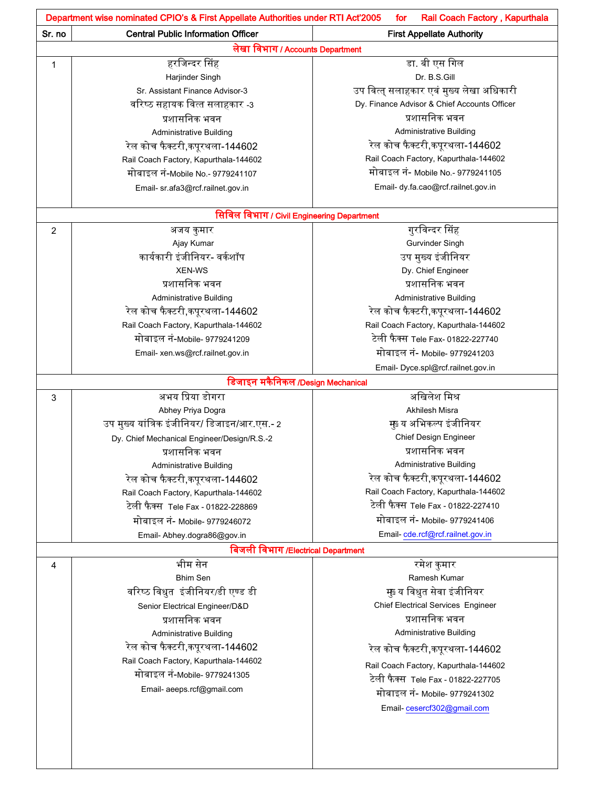|                | Department wise nominated CPIO's & First Appellate Authorities under RTI Act'2005<br>Rail Coach Factory, Kapurthala<br>for |                                              |  |
|----------------|----------------------------------------------------------------------------------------------------------------------------|----------------------------------------------|--|
| Sr. no         | <b>Central Public Information Officer</b>                                                                                  | <b>First Appellate Authority</b>             |  |
|                | लेखा विभाग / Accounts Department                                                                                           |                                              |  |
| 1              | हरजिन्दर सिंह                                                                                                              | डा. बी एस गिल                                |  |
|                | Harjinder Singh                                                                                                            | Dr. B.S.Gill                                 |  |
|                | Sr. Assistant Finance Advisor-3                                                                                            | उप वित्त् सलाहकार एवं मुख्य लेखा अधिकारी     |  |
|                | वरिष्ठ सहायक वित्त सलाहकार -3                                                                                              | Dy. Finance Advisor & Chief Accounts Officer |  |
|                | प्रशासनिक भवन                                                                                                              | प्रशासनिक भवन                                |  |
|                | <b>Administrative Building</b>                                                                                             | <b>Administrative Building</b>               |  |
|                | रेल कोच फैक्टरी,कपूरथला-144602                                                                                             | रेल कोच फैक्टरी,कपूरथला-144602               |  |
|                | Rail Coach Factory, Kapurthala-144602                                                                                      | Rail Coach Factory, Kapurthala-144602        |  |
|                | मोबाइल नं-Mobile No.- 9779241107                                                                                           | मोबाइल नं- Mobile No.- 9779241105            |  |
|                | Email- sr.afa3@rcf.railnet.gov.in                                                                                          | Email- dy.fa.cao@rcf.railnet.gov.in          |  |
|                | सिविल विभाग / Civil Engineering Department                                                                                 |                                              |  |
| $\overline{2}$ | अजय कुमार                                                                                                                  | गुरविन्दर सिंह                               |  |
|                | Ajay Kumar                                                                                                                 | Gurvinder Singh                              |  |
|                | कार्यकारी इंजीनियर- वर्कशॉप                                                                                                | उप मुख्य इंजीनियर                            |  |
|                | <b>XEN-WS</b>                                                                                                              | Dy. Chief Engineer                           |  |
|                | प्रशासनिक भवन                                                                                                              | प्रशासनिक भवन                                |  |
|                | <b>Administrative Building</b>                                                                                             | <b>Administrative Building</b>               |  |
|                | रेल कोच फैक्टरी,कपूरथला-144602                                                                                             | रेल कोच फैक्टरी,कपूरथला-144602               |  |
|                | Rail Coach Factory, Kapurthala-144602                                                                                      | Rail Coach Factory, Kapurthala-144602        |  |
|                | मोबाइल नं-Mobile- 9779241209                                                                                               | टेली फैक्स Tele Fax- 01822-227740            |  |
|                | Email- xen.ws@rcf.railnet.gov.in                                                                                           | मोबाइल नं- Mobile- 9779241203                |  |
|                |                                                                                                                            | Email- Dyce.spl@rcf.railnet.gov.in           |  |
|                | डिजाइन मकैनिकल /Design Mechanical                                                                                          |                                              |  |
| 3              | अभय प्रिया डोगरा                                                                                                           | अखिलेश मिश्र                                 |  |
|                | Abhey Priya Dogra                                                                                                          | Akhilesh Misra                               |  |
|                | उप मुख्य यांत्रिक इंजीनियर/ डिजाइन/आर.एस.- 2                                                                               | मुब्य अभिकल्प इंजीनियर                       |  |
|                | Dy. Chief Mechanical Engineer/Design/R.S.-2                                                                                | Chief Design Engineer                        |  |
|                | प्रशासनिक भवन                                                                                                              | प्रशासनिक भवन                                |  |
|                | Administrative Building                                                                                                    | <b>Administrative Building</b>               |  |
|                | रेल कोच फैक्टरी,कपूरथला-144602                                                                                             | रेल कोच फैक्टरी,कपूरथला-144602               |  |
|                | Rail Coach Factory, Kapurthala-144602                                                                                      | Rail Coach Factory, Kapurthala-144602        |  |
|                | टेली फैक्स  Tele Fax - 01822-228869                                                                                        | टेली फैक्स Tele Fax - 01822-227410           |  |
|                | मोबाइल नं- Mobile- 9779246072                                                                                              | मोबाइल नं- Mobile- 9779241406                |  |
|                | Email- Abhey.dogra86@gov.in                                                                                                | Email-cde.rcf@rcf.railnet.gov.in             |  |
|                | बिजली विभाग /Electrical Department                                                                                         |                                              |  |
| 4              | भीम सेन                                                                                                                    | रमेश कुमार                                   |  |
|                | <b>Bhim Sen</b>                                                                                                            | Ramesh Kumar                                 |  |
|                | वरिष्ठ विधुत इंजीनियर/डी एण्ड डी                                                                                           | मुब्य विधुत सेवा इंजीनियर                    |  |
|                | Senior Electrical Engineer/D&D                                                                                             | <b>Chief Electrical Services Engineer</b>    |  |
|                | प्रशासनिक भवन                                                                                                              | प्रशासनिक भवन                                |  |
|                | <b>Administrative Building</b>                                                                                             | Administrative Building                      |  |
|                | रेल कोच फैक्टरी,कपूरथला-144602                                                                                             | रेल कोच फैक्टरी,कपूरथला-144602               |  |
|                | Rail Coach Factory, Kapurthala-144602                                                                                      | Rail Coach Factory, Kapurthala-144602        |  |
|                | मोबाइल नं-Mobile- 9779241305                                                                                               | टेली फैक्स Tele Fax - 01822-227705           |  |
|                | Email- aeeps.rcf@gmail.com                                                                                                 | मोबाइल नं- Mobile- 9779241302                |  |
|                |                                                                                                                            |                                              |  |
|                |                                                                                                                            | Email-cesercf302@gmail.com                   |  |
|                |                                                                                                                            |                                              |  |
|                |                                                                                                                            |                                              |  |
|                |                                                                                                                            |                                              |  |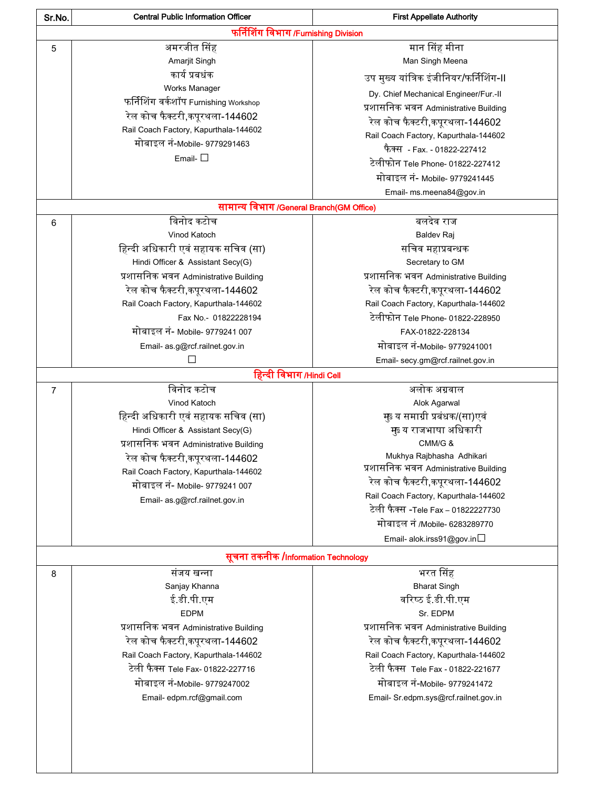| Sr.No.                              | <b>Central Public Information Officer</b> | <b>First Appellate Authority</b>        |
|-------------------------------------|-------------------------------------------|-----------------------------------------|
|                                     | फर्निशिंग विभाग/Furnishing Division       |                                         |
| 5                                   | अमरजीत सिंह                               | मान सिंह मीना                           |
|                                     | Amarjit Singh                             | Man Singh Meena                         |
|                                     | कार्य प्रबधंक                             | उप मुख्य यांत्रिक इंजीनियर/फर्निशिंग-II |
|                                     | Works Manager                             | Dy. Chief Mechanical Engineer/Fur.-II   |
|                                     | फर्निशिंग वर्कशॉप Furnishing Workshop     | प्रशासनिक भवन Administrative Building   |
|                                     | रेल कोच फैक्टरी,कपूरथला-144602            | रेल कोच फैक्टरी,कपूरथला-144602          |
|                                     | Rail Coach Factory, Kapurthala-144602     | Rail Coach Factory, Kapurthala-144602   |
|                                     | मोबाइल नं-Mobile- 9779291463              | फैक्स - Fax. - 01822-227412             |
|                                     | Email- $\square$                          | टेलीफोन Tele Phone- 01822-227412        |
|                                     |                                           | मोबाइल नं- Mobile- 9779241445           |
|                                     |                                           | Email- ms.meena84@gov.in                |
|                                     | सामान्य विभाग/General Branch(GM Office)   |                                         |
| 6                                   | विनोद कटोच                                | बलदेव राज                               |
|                                     | Vinod Katoch                              | Baldev Raj                              |
|                                     | हिन्दी अधिकारी एवं सहायक सचिव (सा)        | सचिव महाप्रबन्धक                        |
|                                     | Hindi Officer & Assistant Secy(G)         | Secretary to GM                         |
|                                     | प्रशासनिक भवन Administrative Building     | प्रशासनिक भवन Administrative Building   |
|                                     | रेल कोच फैक्टरी,कपूरथला-144602            | रेल कोच फैक्टरी,कपूरथला-144602          |
|                                     | Rail Coach Factory, Kapurthala-144602     | Rail Coach Factory, Kapurthala-144602   |
|                                     | Fax No.- 01822228194                      | टेलीफोन Tele Phone- 01822-228950        |
|                                     | मोबाइल नं- Mobile- 9779241 007            | FAX-01822-228134                        |
|                                     | Email- as.g@rcf.railnet.gov.in            | मोबाइल नं-Mobile- 9779241001            |
|                                     | П                                         | Email- secy.gm@rcf.railnet.gov.in       |
|                                     | हिन्दी विभाग/Hindi Cell                   |                                         |
| $\overline{7}$                      | विनोद कटोच                                | अलोक अग्रवाल                            |
|                                     | Vinod Katoch                              | Alok Agarwal                            |
|                                     | हिन्दी अधिकारी एवं सहायक सचिव (सा)        | मुब्य समाग्री प्रबंधक/(सा)एवं           |
|                                     | Hindi Officer & Assistant Secy(G)         | मुब्य राजभाषा अधिकारी                   |
|                                     | प्रशासनिक भवन Administrative Building     | CMM/G &                                 |
|                                     | रेल कोच फैक्टरी,कपूरथला-144602            | Mukhya Rajbhasha Adhikari               |
|                                     | Rail Coach Factory, Kapurthala-144602     | प्रशासनिक भवन Administrative Building   |
|                                     | मोबाइल नं- Mobile- 9779241 007            | रेल कोच फैक्टरी,कपूरथला-144602          |
|                                     | Email- as g@rcf.railnet.gov.in            | Rail Coach Factory, Kapurthala-144602   |
|                                     |                                           | टेली फैक्स -Tele Fax – 01822227730      |
|                                     |                                           | मोबाइल नं /Mobile- 6283289770           |
|                                     |                                           | Email- alok.irss91@gov.in               |
| सूचना तकनीक /Information Technology |                                           |                                         |
| 8                                   | संजय खन्ना                                | भरत सिंह                                |
|                                     | Sanjay Khanna                             | <b>Bharat Singh</b>                     |
|                                     | ई.डी.पी.एम                                | वरिष्ठ ई.डी.पी.एम                       |
|                                     | <b>EDPM</b>                               | Sr. EDPM                                |
|                                     | प्रशासनिक भवन Administrative Building     | प्रशासनिक भवन Administrative Building   |
|                                     | रेल कोच फैक्टरी,कपूरथला-144602            | रेल कोच फैक्टरी,कपूरथला-144602          |
|                                     | Rail Coach Factory, Kapurthala-144602     | Rail Coach Factory, Kapurthala-144602   |
|                                     | टेली फैक्स Tele Fax- 01822-227716         | टेली फैक्स Tele Fax - 01822-221677      |
|                                     | मोबाइल नं-Mobile- 9779247002              | मोबाइल नं-Mobile- 9779241472            |
|                                     | Email- edpm.rcf@gmail.com                 | Email- Sr.edpm.sys@rcf.railnet.gov.in   |
|                                     |                                           |                                         |
|                                     |                                           |                                         |
|                                     |                                           |                                         |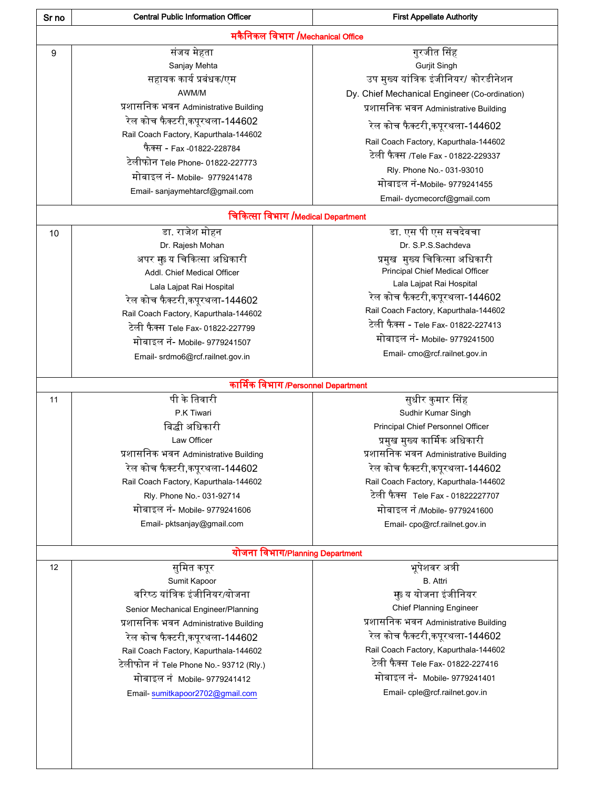| Sr no | <b>Central Public Information Officer</b> | <b>First Appellate Authority</b>                                             |
|-------|-------------------------------------------|------------------------------------------------------------------------------|
|       | मकैनिकल विभाग /Mechanical Office          |                                                                              |
| 9     | संजय मेहता                                | गुरजीत सिंह                                                                  |
|       | Sanjay Mehta                              | <b>Gurjit Singh</b>                                                          |
|       | सहायक कार्य प्रबंधक/एम                    | उप मुख्य यांत्रिक इंजीनियर/ कोरडीनेशन                                        |
|       | AWM/M                                     | Dy. Chief Mechanical Engineer (Co-ordination)                                |
|       | प्रशासनिक भवन Administrative Building     | प्रशासनिक भवन Administrative Building                                        |
|       | रेल कोच फैक्टरी,कपूरथला-144602            | रेल कोच फैक्टरी,कपूरथला-144602                                               |
|       | Rail Coach Factory, Kapurthala-144602     |                                                                              |
|       | फैक्स - Fax -01822-228784                 | Rail Coach Factory, Kapurthala-144602<br>टेली फैक्स /Tele Fax - 01822-229337 |
|       | टेलीफोन Tele Phone- 01822-227773          |                                                                              |
|       | मोबाइल नं- Mobile- 9779241478             | Rly. Phone No.- 031-93010                                                    |
|       | Email- sanjaymehtarcf@gmail.com           | मोबाइल नं-Mobile- 9779241455                                                 |
|       |                                           | Email- dycmecorcf@gmail.com                                                  |
|       | चिकित्सा विभाग /Medical Department        |                                                                              |
| 10    | डा. राजेश मोहन                            | डा. एस पी एस सचदेवचा                                                         |
|       | Dr. Rajesh Mohan                          | Dr. S.P.S.Sachdeva                                                           |
|       | अपर मुड य चिकित्सा अधिकारी                | प्रमुख  मुख्य चिकित्सा अधिकारी                                               |
|       | Addl. Chief Medical Officer               | <b>Principal Chief Medical Officer</b>                                       |
|       | Lala Lajpat Rai Hospital                  | Lala Lajpat Rai Hospital                                                     |
|       | रेल कोच फैक्टरी,कपूरथला-144602            | रेल कोच फैक्टरी,कपूरथला-144602                                               |
|       | Rail Coach Factory, Kapurthala-144602     | Rail Coach Factory, Kapurthala-144602                                        |
|       | टेली फैक्स Tele Fax- 01822-227799         | टेली फैक्स - Tele Fax- 01822-227413                                          |
|       | मोबाइल नं- Mobile- 9779241507             | मोबाइल नं- Mobile- 9779241500                                                |
|       | Email- srdmo6@rcf.railnet.gov.in          | Email-cmo@rcf.railnet.gov.in                                                 |
|       |                                           |                                                                              |
|       | कार्मिक विभाग/Personnel Department        |                                                                              |
| 11    | पी के तिवारी                              | सुधीर कुमार सिंह                                                             |
|       | P.K Tiwari                                | Sudhir Kumar Singh                                                           |
|       | बिद्धी अधिकारी                            | Principal Chief Personnel Officer                                            |
|       | Law Officer                               | प्रमुख मुख्य कार्मिक अधिकारी                                                 |
|       | प्रशासनिक भवन Administrative Building     | प्रशासनिक भवन Administrative Building                                        |
|       | रेल कोच फैक्टरी,कपूरथला-144602            | रेल कोच फैक्टरी,कपूरथला-144602                                               |
|       | Rail Coach Factory, Kapurthala-144602     | Rail Coach Factory, Kapurthala-144602                                        |
|       | Rly. Phone No. - 031-92714                | टेली फैक्स  Tele Fax - 01822227707                                           |
|       | मोबाइल नं- Mobile- 9779241606             | मोबाइल नं /Mobile- 9779241600                                                |
|       | Email- pktsanjay@gmail.com                | Email-cpo@rcf.railnet.gov.in                                                 |
|       | योजना विभाग/Planning Department           |                                                                              |
| 12    | सुमित कपूर                                | भूपेशवर अत्री                                                                |
|       | Sumit Kapoor                              | <b>B.</b> Attri                                                              |
|       | वरिष्ठ यांत्रिक इंजीनियर/योजना            | मुब्य योजना इंजीनियर                                                         |
|       |                                           | <b>Chief Planning Engineer</b>                                               |
|       | Senior Mechanical Engineer/Planning       | प्रशासनिक भवन Administrative Building                                        |
|       | प्रशासनिक भवन Administrative Building     |                                                                              |
|       | रेल कोच फैक्टरी,कपूरथला-144602            | रेल कोच फैक्टरी,कपूरथला-144602                                               |
|       | Rail Coach Factory, Kapurthala-144602     | Rail Coach Factory, Kapurthala-144602                                        |
|       | टेलीफोन नं Tele Phone No.- 93712 (Rly.)   | टेली फैक्स Tele Fax- 01822-227416                                            |
|       | मोबाइल नं Mobile- 9779241412              | मोबाइल नं- Mobile- 9779241401                                                |
|       | Email-sumitkapoor2702@gmail.com           | Email-cple@rcf.railnet.gov.in                                                |
|       |                                           |                                                                              |
|       |                                           |                                                                              |
|       |                                           |                                                                              |
|       |                                           |                                                                              |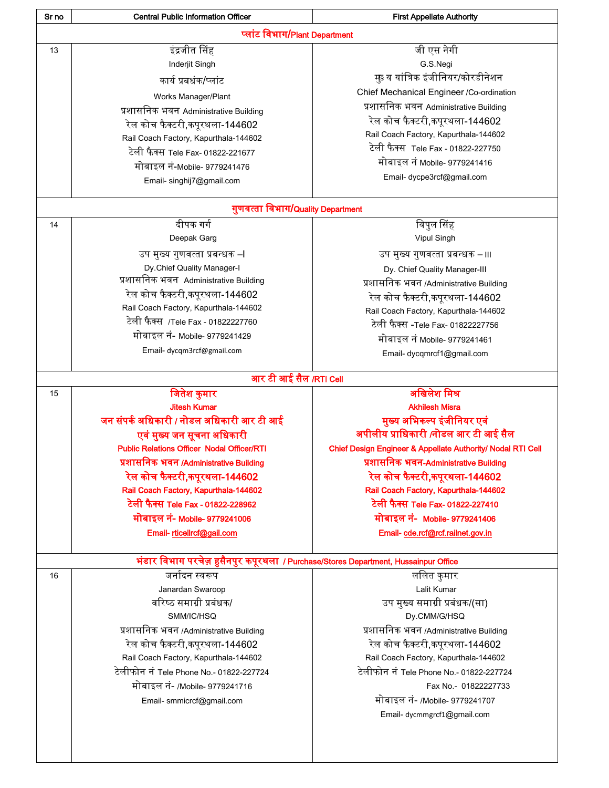| Sr no | <b>Central Public Information Officer</b>                                            | <b>First Appellate Authority</b>                            |
|-------|--------------------------------------------------------------------------------------|-------------------------------------------------------------|
|       | प्लांट विभाग/Plant Department                                                        |                                                             |
| 13    | इंद्रजीत सिंह                                                                        | जी एस नेगी                                                  |
|       | Inderjit Singh                                                                       | G.S.Negi                                                    |
|       | कार्य प्रबधंक/प्लांट                                                                 | मु्डय यांत्रिक इंजीनियर/कोरडीनेशन                           |
|       | Works Manager/Plant                                                                  | Chief Mechanical Engineer / Co-ordination                   |
|       | प्रशासनिक भवन Administrative Building                                                | प्रशासनिक भवन Administrative Building                       |
|       | रेल कोच फैक्टरी,कपूरथला-144602                                                       | रेल कोच फैक्टरी,कपूरथला-144602                              |
|       | Rail Coach Factory, Kapurthala-144602                                                | Rail Coach Factory, Kapurthala-144602                       |
|       | टेली फैक्स Tele Fax- 01822-221677                                                    | टेली फैक्स Tele Fax - 01822-227750                          |
|       | मोबाइल नं-Mobile- 9779241476                                                         | मोबाइल नं Mobile- 9779241416                                |
|       |                                                                                      | Email- dycpe3rcf@gmail.com                                  |
|       | Email- singhij7@gmail.com                                                            |                                                             |
|       | गुणवत्ता विभाग/Quality Department                                                    |                                                             |
| 14    | दीपक गर्ग                                                                            | विपुल सिंह                                                  |
|       | Deepak Garg                                                                          | Vipul Singh                                                 |
|       | उप मुख्य गुणवत्ता प्रबन्धक –।                                                        | उप मुख्य गुणवत्ता प्रबन्धक – ।।।                            |
|       | Dy.Chief Quality Manager-I                                                           | Dy. Chief Quality Manager-III                               |
|       | प्रशासनिक भवन Administrative Building                                                | प्रशासनिक भवन /Administrative Building                      |
|       | रेल कोच फैक्टरी,कपूरथला-144602                                                       | रेल कोच फैक्टरी,कपूरथला-144602                              |
|       | Rail Coach Factory, Kapurthala-144602                                                | Rail Coach Factory, Kapurthala-144602                       |
|       | टेली फैक्स  /Tele Fax - 01822227760                                                  | टेली फैक्स -Tele Fax- 01822227756                           |
|       | मोबाइल नं- Mobile- 9779241429                                                        | मोबाइल नं Mobile- 9779241461                                |
|       | Email- dycqm3rcf@gmail.com                                                           |                                                             |
|       |                                                                                      | Email- dycqmrcf1@gmail.com                                  |
|       | आर टी आई सैल /RTI Cell                                                               |                                                             |
| 15    | जितेश कुमार                                                                          | अखिलेश मिश्र                                                |
|       | <b>Jitesh Kumar</b>                                                                  | <b>Akhilesh Misra</b>                                       |
|       | जन संपर्क अधिकारी / नोडल अधिकारी आर टी आई                                            | मुख्य अभिकल्प इंजीनियर एवं                                  |
|       | एवं मुख्य जन सूचना अधिकारी                                                           | अपीलीय प्राधिकारी /नोडल आर टी आई सैल                        |
|       | <b>Public Relations Officer Nodal Officer/RTI</b>                                    | Chief Design Engineer & Appellate Authority/ Nodal RTI Cell |
|       | प्रशासनिक भवन /Administrative Building                                               | प्रशासनिक भवन-Administrative Building                       |
|       | रेल कोच फैक्टरी,कपूरथला-144602                                                       | रेल कोच फैक्टरी,कपूरथला-144602                              |
|       | Rail Coach Factory, Kapurthala-144602                                                | Rail Coach Factory, Kapurthala-144602                       |
|       | टेली फैक्स Tele Fax - 01822-228962                                                   | टेली फैक्स Tele Fax- 01822-227410                           |
|       | मोबाइल नं- Mobile- 9779241006                                                        | मोबाइल नं- Mobile- 9779241406                               |
|       | Email- rticellrcf@gail.com                                                           | Email-cde.rcf@rcf.railnet.gov.in                            |
|       | भंडार विभाग परचेज़ हुसैनपुर कपूरथला  / Purchase/Stores Department, Hussainpur Office |                                                             |
| 16    | जर्नादन स्वरूप                                                                       | ललित कुमार                                                  |
|       | Janardan Swaroop                                                                     | Lalit Kumar                                                 |
|       | वरिष्ठ समाग्री प्रबंधक/                                                              | उप मुख्य समाग्री प्रबंधक/(सा)                               |
|       | SMM/IC/HSQ                                                                           | Dy.CMM/G/HSQ                                                |
|       | प्रशासनिक भवन /Administrative Building                                               | प्रशासनिक भवन /Administrative Building                      |
|       | रेल कोच फैक्टरी,कपूरथला-144602                                                       | रेल कोच फैक्टरी,कपूरथला-144602                              |
|       | Rail Coach Factory, Kapurthala-144602                                                | Rail Coach Factory, Kapurthala-144602                       |
|       | टेलीफोन नं Tele Phone No.- 01822-227724                                              | टेलीफोन नं Tele Phone No.- 01822-227724                     |
|       | मोबाइल नं- /Mobile- 9779241716                                                       | Fax No.- 01822227733                                        |
|       | Email- smmicrcf@gmail.com                                                            | मोबाइल नं- /Mobile- 9779241707                              |
|       |                                                                                      | Email- dycmmgrcf1@gmail.com                                 |
|       |                                                                                      |                                                             |
|       |                                                                                      |                                                             |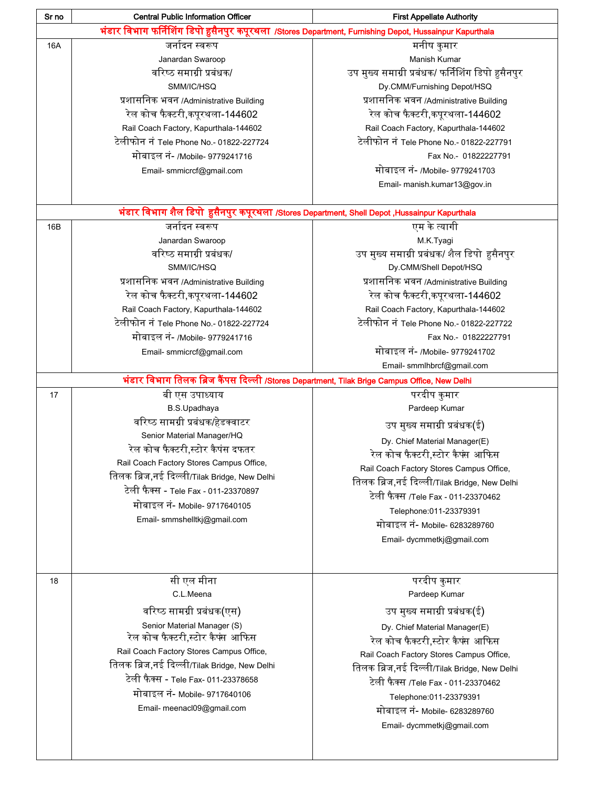| Sr no | <b>Central Public Information Officer</b>                                                               | <b>First Appellate Authority</b>                                                    |
|-------|---------------------------------------------------------------------------------------------------------|-------------------------------------------------------------------------------------|
|       | भंडार विभाग फर्निशिंग डिपो हुसैनपुर कपूरथला /Stores Department, Furnishing Depot, Hussainpur Kapurthala |                                                                                     |
| 16A   | जर्नादन स्वरूप                                                                                          | मनीष कुमार                                                                          |
|       | Janardan Swaroop                                                                                        | Manish Kumar                                                                        |
|       | वरिष्ठ समाग्री प्रबंधक/                                                                                 | उप मुख्य समाग्री प्रबंधक/ फर्निशिंग डिपो हुसैनपुर                                   |
|       | SMM/IC/HSQ                                                                                              | Dy.CMM/Furnishing Depot/HSQ                                                         |
|       | प्रशासनिक भवन /Administrative Building                                                                  | प्रशासनिक भवन /Administrative Building                                              |
|       | रेल कोच फैक्टरी,कपूरथला-144602                                                                          | रेल कोच फैक्टरी,कपूरथला-144602                                                      |
|       | Rail Coach Factory, Kapurthala-144602                                                                   | Rail Coach Factory, Kapurthala-144602                                               |
|       | टेलीफोन नं Tele Phone No.- 01822-227724                                                                 | टेलीफोन नं Tele Phone No.- 01822-227791                                             |
|       | मोबाइल नं- /Mobile- 9779241716                                                                          | Fax No.- 01822227791                                                                |
|       | Email- smmicrcf@gmail.com                                                                               | मोबाइल नं- /Mobile- 9779241703                                                      |
|       |                                                                                                         | Email- manish.kumar13@gov.in                                                        |
|       |                                                                                                         |                                                                                     |
|       | भंडार विभाग शैल डिपो हुसैनपुर कपूरथला /Stores Department, Shell Depot ,Hussainpur Kapurthala            |                                                                                     |
| 16B   | जर्नादन स्वरूप                                                                                          | एम के त्यागी                                                                        |
|       | Janardan Swaroop                                                                                        | M.K.Tyagi                                                                           |
|       | वरिष्ठ समाग्री प्रबंधक/                                                                                 | उप मुख्य समाग्री प्रबंधक/ शैल डिपो हुसैनपुर                                         |
|       | SMM/IC/HSQ                                                                                              | Dy.CMM/Shell Depot/HSQ                                                              |
|       | प्रशासनिक भवन /Administrative Building                                                                  | प्रशासनिक भवन /Administrative Building                                              |
|       | रेल कोच फैक्टरी,कपूरथला-144602                                                                          | रेल कोच फैक्टरी,कपूरथला-144602                                                      |
|       | Rail Coach Factory, Kapurthala-144602                                                                   | Rail Coach Factory, Kapurthala-144602                                               |
|       | टेलीफोन नं Tele Phone No.- 01822-227724                                                                 | टेलीफोन नं Tele Phone No.- 01822-227722                                             |
|       | मोबाइल नं- /Mobile- 9779241716                                                                          | Fax No.- 01822227791                                                                |
|       | Email- smmicrcf@gmail.com                                                                               | मोबाइल नं- /Mobile- 9779241702                                                      |
|       |                                                                                                         | Email- smmlhbrcf@gmail.com                                                          |
|       | भंडार विभाग तिलक ब्रिज कैंपस दिल्ली /Stores Department, Tilak Brige Campus Office, New Delhi            |                                                                                     |
| 17    | बी एस उपाध्याय                                                                                          | परदीप कुमार                                                                         |
|       | B.S.Upadhaya                                                                                            | Pardeep Kumar                                                                       |
|       | वरिष्ठ सामग्री प्रबंधक/हेडक्वाटर                                                                        | उप मुख्य समाग्री प्रबंधक(ई)                                                         |
|       | Senior Material Manager/HQ                                                                              | Dy. Chief Material Manager(E)                                                       |
|       | रेल कोच फैक्टरी,स्टोर कैपंस दफतर                                                                        | रेल कोच फैक्टरी,स्टोर कैफ्स आफिस                                                    |
|       | Rail Coach Factory Stores Campus Office,                                                                | Rail Coach Factory Stores Campus Office,                                            |
|       | तिलक ब्रिज,नई दिल्ली/Tilak Bridge, New Delhi                                                            |                                                                                     |
|       | टेली फैक्स - Tele Fax - 011-23370897                                                                    | तिलक ब्रिज,नई दिल्ली/Tilak Bridge, New Delhi<br>टेली फैक्स /Tele Fax - 011-23370462 |
|       | मोबाइल नं- Mobile- 9717640105                                                                           |                                                                                     |
|       | Email- smmshelltkj@gmail.com                                                                            | Telephone: 011-23379391                                                             |
|       |                                                                                                         | मोबाइल नं- Mobile- 6283289760                                                       |
|       |                                                                                                         | Email- dycmmetkj@gmail.com                                                          |
|       |                                                                                                         |                                                                                     |
| 18    | सी एल मीना                                                                                              | परदीप कुमार                                                                         |
|       | C.L.Meena                                                                                               | Pardeep Kumar                                                                       |
|       | वरिष्ठ सामग्री प्रबंधक(एस)                                                                              | उप मुख्य समाग्री प्रबंधक(ई)                                                         |
|       |                                                                                                         |                                                                                     |
|       | Senior Material Manager (S)<br>रेल कोच फैक्टरी,स्टोर कैपंस आफिस                                         | Dy. Chief Material Manager(E)                                                       |
|       | Rail Coach Factory Stores Campus Office,                                                                | रेल कोच फैक्टरी,स्टोर कैपंस आफिस                                                    |
|       | तिलक ब्रिज,नई दिल्ली/Tilak Bridge, New Delhi                                                            | Rail Coach Factory Stores Campus Office,                                            |
|       |                                                                                                         | तिलक ब्रिज,नई दिल्ली/Tilak Bridge, New Delhi                                        |
|       | टेली फैक्स - Tele Fax- 011-23378658                                                                     | टेली फैक्स /Tele Fax - 011-23370462                                                 |
|       | मोबाइल नं- Mobile- 9717640106                                                                           | Telephone:011-23379391                                                              |
|       | Email- meenacl09@gmail.com                                                                              | मोबाइल नं- Mobile- 6283289760                                                       |
|       |                                                                                                         | Email- dycmmetkj@gmail.com                                                          |
|       |                                                                                                         |                                                                                     |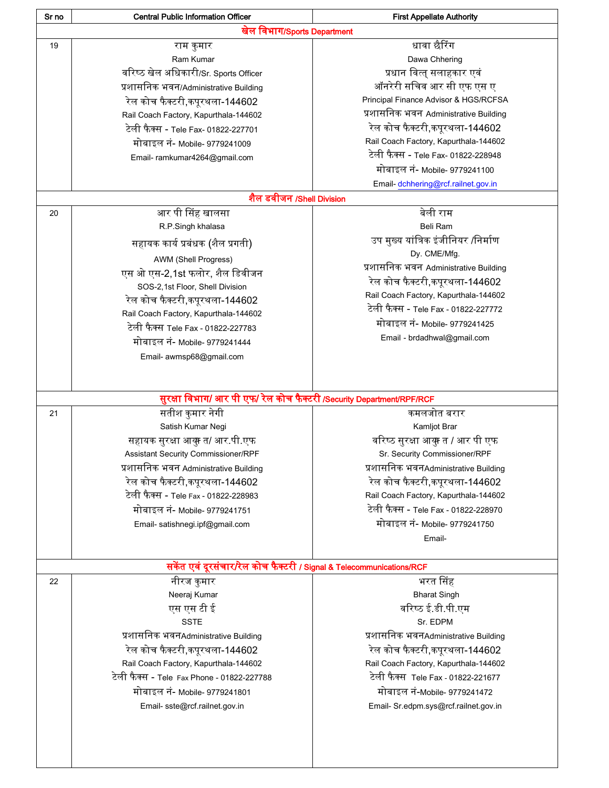| Sr no | <b>Central Public Information Officer</b>                             | <b>First Appellate Authority</b>      |
|-------|-----------------------------------------------------------------------|---------------------------------------|
|       | खेल विभाग/Sports Department                                           |                                       |
| 19    | राम कुमार                                                             | धावा छैरिंग                           |
|       | Ram Kumar                                                             | Dawa Chhering                         |
|       | वरिष्ठ खेल अधिकारी/Sr. Sports Officer                                 | प्रधान वित्त् सलाहकार एवं             |
|       | प्रशासनिक भवन/Administrative Building                                 | ऑनरेरी सचिव आर सी एफ एस ए             |
|       | रेल कोच फैक्टरी,कपूरथला-144602                                        | Principal Finance Advisor & HGS/RCFSA |
|       | Rail Coach Factory, Kapurthala-144602                                 | प्रशासनिक भवन Administrative Building |
|       | टेली फैक्स - Tele Fax- 01822-227701                                   | रेल कोच फैक्टरी,कपूरथला-144602        |
|       |                                                                       | Rail Coach Factory, Kapurthala-144602 |
|       | मोबाइल नं- Mobile- 9779241009                                         | टेली फैक्स - Tele Fax- 01822-228948   |
|       | Email-ramkumar4264@gmail.com                                          | मोबाइल नं- Mobile- 9779241100         |
|       |                                                                       |                                       |
|       |                                                                       | Email-dchhering@rcf.railnet.gov.in    |
|       | शैल डवीजन /Shell Division                                             |                                       |
| 20    | आर पी सिंह खालसा                                                      | बेली राम                              |
|       | R.P.Singh khalasa                                                     | Beli Ram                              |
|       | सहायक कार्य प्रबंधक (शैल प्रगती)                                      | उप मुख्य यांत्रिक इंजीनियर /निर्माण   |
|       | AWM (Shell Progress)                                                  | Dy. CME/Mfg.                          |
|       | एस ओ एस-2,1st फलोर, शैल डिवीजन                                        | प्रशासनिक भवन Administrative Building |
|       | SOS-2,1st Floor, Shell Division                                       | रेल कोच फैक्टरी,कपूरथला-144602        |
|       | रेल कोच फैक्टरी,कपूरथला-144602                                        | Rail Coach Factory, Kapurthala-144602 |
|       | Rail Coach Factory, Kapurthala-144602                                 | टेली फैक्स - Tele Fax - 01822-227772  |
|       | टेली फैक्स Tele Fax - 01822-227783                                    | मोबाइल नं- Mobile- 9779241425         |
|       | मोबाइल नं- Mobile- 9779241444                                         | Email - brdadhwal@gmail.com           |
|       | Email- awmsp68@gmail.com                                              |                                       |
|       |                                                                       |                                       |
|       |                                                                       |                                       |
|       | सुरक्षा विभाग/ आर पी एफ/ रेल कोच फैक्टरी /Security Department/RPF/RCF |                                       |
| 21    | सतीश कुमार नेगी                                                       | कमलजोत बरार                           |
|       | Satish Kumar Negi                                                     | Kamljot Brar                          |
|       | सहायक सुरक्षा आयु़ त/ आर.पी.एफ                                        | वरिष्ठ सुरक्षा आक्कु त / आर पी एफ     |
|       | Assistant Security Commissioner/RPF                                   | Sr. Security Commissioner/RPF         |
|       | प्रशासनिक भवन Administrative Building                                 | प्रशासनिक भवनAdministrative Building  |
|       | रेल कोच फैक्टरी,कपूरथला-144602                                        | रेल कोच फैक्टरी,कपुरथला-144602        |
|       | टेली फैक्स - Tele Fax - 01822-228983                                  | Rail Coach Factory, Kapurthala-144602 |
|       |                                                                       | टेली फैक्स - Tele Fax - 01822-228970  |
|       | मोबाइल नं- Mobile- 9779241751                                         |                                       |
|       | Email- satishnegi.ipf@gmail.com                                       | मोबाइल नं- Mobile- 9779241750         |
|       |                                                                       | Email-                                |
|       |                                                                       |                                       |
|       | सकेंत एवं दूरसंचार/रेल कोच फैक्टरी / Signal & Telecommunications/RCF  |                                       |
| 22    | नीरज कुमार                                                            | भरत सिंह                              |
|       | Neeraj Kumar                                                          | <b>Bharat Singh</b>                   |
|       | एस एस टी ई                                                            | वरिष्ठ ई.डी.पी.एम                     |
|       | <b>SSTE</b>                                                           | Sr. EDPM                              |
|       | प्रशासनिक भवनAdministrative Building                                  | प्रशासनिक भवनAdministrative Building  |
|       | रेल कोच फैक्टरी,कपूरथला-144602                                        | रेल कोच फैक्टरी,कपूरथला-144602        |
|       | Rail Coach Factory, Kapurthala-144602                                 | Rail Coach Factory, Kapurthala-144602 |
|       | टेली फैक्स - Tele Fax Phone - 01822-227788                            | टेली फैक्स Tele Fax - 01822-221677    |
|       | मोबाइल नं- Mobile- 9779241801                                         | मोबाइल नं-Mobile- 9779241472          |
|       | Email-sste@rcf.railnet.gov.in                                         | Email- Sr.edpm.sys@rcf.railnet.gov.in |
|       |                                                                       |                                       |
|       |                                                                       |                                       |
|       |                                                                       |                                       |